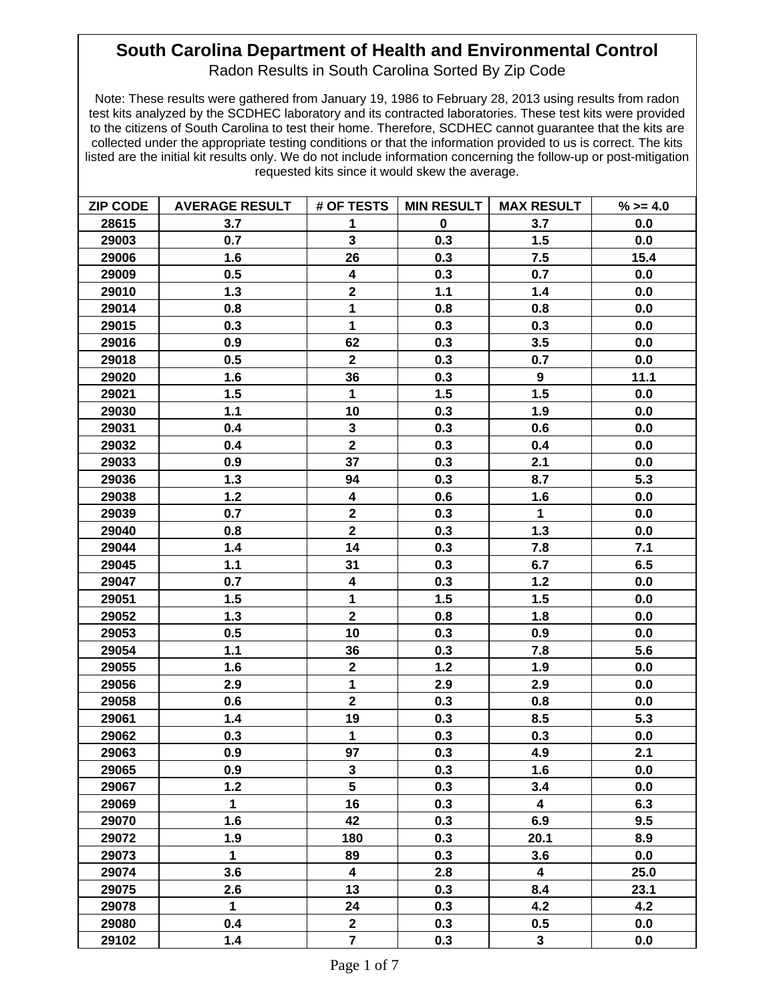## **South Carolina Department of Health and Environmental Control**

Radon Results in South Carolina Sorted By Zip Code

Note: These results were gathered from January 19, 1986 to February 28, 2013 using results from radon test kits analyzed by the SCDHEC laboratory and its contracted laboratories. These test kits were provided to the citizens of South Carolina to test their home. Therefore, SCDHEC cannot guarantee that the kits are collected under the appropriate testing conditions or that the information provided to us is correct. The kits listed are the initial kit results only. We do not include information concerning the follow-up or post-mitigation requested kits since it would skew the average.

| <b>ZIP CODE</b> | <b>AVERAGE RESULT</b> | # OF TESTS              |             | MIN RESULT   MAX RESULT | $%>=4.0$ |
|-----------------|-----------------------|-------------------------|-------------|-------------------------|----------|
| 28615           | 3.7                   | 1                       | $\mathbf 0$ | 3.7                     | 0.0      |
| 29003           | 0.7                   | $\mathbf{3}$            | 0.3         | 1.5                     | 0.0      |
| 29006           | 1.6                   | 26                      | 0.3         | 7.5                     | 15.4     |
| 29009           | 0.5                   | $\overline{\mathbf{4}}$ | 0.3         | 0.7                     | 0.0      |
| 29010           | 1.3                   | $\mathbf 2$             | 1.1         | 1.4                     | 0.0      |
| 29014           | 0.8                   | $\mathbf 1$             | 0.8         | 0.8                     | 0.0      |
| 29015           | 0.3                   | $\mathbf{1}$            | 0.3         | 0.3                     | 0.0      |
| 29016           | 0.9                   | 62                      | 0.3         | 3.5                     | 0.0      |
| 29018           | 0.5                   | $\mathbf 2$             | 0.3         | 0.7                     | 0.0      |
| 29020           | 1.6                   | 36                      | 0.3         | 9                       | 11.1     |
| 29021           | 1.5                   | $\mathbf{1}$            | 1.5         | 1.5                     | 0.0      |
| 29030           | 1.1                   | 10                      | 0.3         | 1.9                     | 0.0      |
| 29031           | 0.4                   | $\mathbf 3$             | 0.3         | 0.6                     | 0.0      |
| 29032           | 0.4                   | $\overline{2}$          | 0.3         | 0.4                     | 0.0      |
| 29033           | 0.9                   | 37                      | 0.3         | 2.1                     | 0.0      |
| 29036           | 1.3                   | 94                      | 0.3         | 8.7                     | 5.3      |
| 29038           | 1.2                   | $\overline{\mathbf{4}}$ | 0.6         | 1.6                     | 0.0      |
| 29039           | 0.7                   | $\overline{2}$          | 0.3         | $\mathbf{1}$            | 0.0      |
| 29040           | 0.8                   | $\mathbf{2}$            | 0.3         | $1.3$                   | 0.0      |
| 29044           | 1.4                   | 14                      | 0.3         | 7.8                     | 7.1      |
| 29045           | 1.1                   | 31                      | 0.3         | 6.7                     | 6.5      |
| 29047           | 0.7                   | $\overline{\mathbf{4}}$ | 0.3         | $1.2$                   | 0.0      |
| 29051           | 1.5                   | 1                       | 1.5         | 1.5                     | 0.0      |
| 29052           | 1.3                   | $\mathbf{2}$            | 0.8         | 1.8                     | 0.0      |
| 29053           | 0.5                   | 10                      | 0.3         | 0.9                     | 0.0      |
| 29054           | 1.1                   | 36                      | 0.3         | 7.8                     | 5.6      |
| 29055           | 1.6                   | $\mathbf 2$             | $1.2$       | 1.9                     | 0.0      |
| 29056           | 2.9                   | $\mathbf{1}$            | 2.9         | 2.9                     | 0.0      |
| 29058           | 0.6                   | $\overline{\mathbf{2}}$ | 0.3         | 0.8                     | 0.0      |
| 29061           | 1.4                   | 19                      | 0.3         | 8.5                     | 5.3      |
| 29062           | 0.3                   | $\mathbf{1}$            | 0.3         | 0.3                     | 0.0      |
| 29063           | 0.9                   | 97                      | 0.3         | 4.9                     | 2.1      |
| 29065           | 0.9                   | $\mathbf 3$             | 0.3         | 1.6                     | 0.0      |
| 29067           | $1.2$                 | $5\phantom{a}$          | 0.3         | 3.4                     | 0.0      |
| 29069           | $\mathbf 1$           | 16                      | 0.3         | 4                       | 6.3      |
| 29070           | 1.6                   | 42                      | 0.3         | 6.9                     | 9.5      |
| 29072           | 1.9                   | 180                     | 0.3         | 20.1                    | 8.9      |
| 29073           | $\mathbf{1}$          | 89                      | 0.3         | 3.6                     | 0.0      |
| 29074           | 3.6                   | 4                       | 2.8         | 4                       | 25.0     |
| 29075           | 2.6                   | 13                      | 0.3         | 8.4                     | 23.1     |
| 29078           | $\mathbf{1}$          | 24                      | 0.3         | 4.2                     | 4.2      |
| 29080           | 0.4                   | $\mathbf{2}$            | 0.3         | 0.5                     | 0.0      |
| 29102           | 1.4                   | $\overline{7}$          | 0.3         | $\mathbf{3}$            | 0.0      |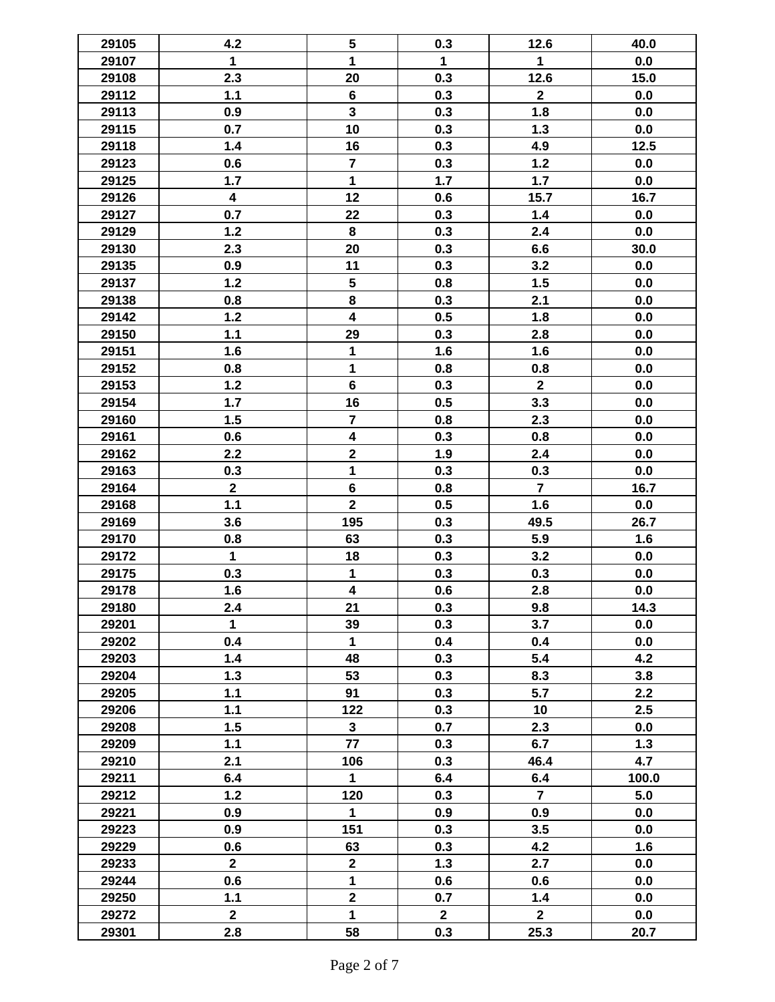| 29105 | 4.2                     | $\sqrt{5}$              | 0.3          | 12.6           | 40.0  |
|-------|-------------------------|-------------------------|--------------|----------------|-------|
| 29107 | $\mathbf{1}$            | 1                       | $\mathbf 1$  | $\mathbf{1}$   | 0.0   |
| 29108 | 2.3                     | 20                      | 0.3          | 12.6           | 15.0  |
| 29112 | 1.1                     | $\bf 6$                 | 0.3          | $\mathbf{2}$   | 0.0   |
| 29113 | 0.9                     | $\mathbf{3}$            | 0.3          | 1.8            | 0.0   |
| 29115 | 0.7                     | 10                      | 0.3          | $1.3$          | 0.0   |
| 29118 | 1.4                     | 16                      | 0.3          | 4.9            | 12.5  |
| 29123 | 0.6                     | $\overline{7}$          | 0.3          | $1.2$          | 0.0   |
| 29125 | 1.7                     | $\mathbf{1}$            | 1.7          | 1.7            | 0.0   |
| 29126 | $\overline{\mathbf{4}}$ | 12                      | 0.6          | 15.7           | 16.7  |
| 29127 | 0.7                     | 22                      | 0.3          | 1.4            | 0.0   |
| 29129 | 1.2                     | 8                       | 0.3          | 2.4            | 0.0   |
| 29130 | 2.3                     | 20                      | 0.3          | 6.6            | 30.0  |
| 29135 | 0.9                     | 11                      | 0.3          | 3.2            | 0.0   |
| 29137 | $1.2$                   | $\overline{\mathbf{5}}$ | 0.8          | 1.5            | 0.0   |
|       |                         | 8                       |              |                |       |
| 29138 | 0.8                     |                         | 0.3          | 2.1            | 0.0   |
| 29142 | $1.2$                   | $\overline{\mathbf{4}}$ | 0.5          | 1.8            | 0.0   |
| 29150 | 1.1                     | 29                      | 0.3          | 2.8            | 0.0   |
| 29151 | 1.6                     | 1                       | 1.6          | 1.6            | 0.0   |
| 29152 | 0.8                     | 1                       | 0.8          | 0.8            | 0.0   |
| 29153 | $1.2$                   | $6\phantom{a}$          | 0.3          | $\overline{2}$ | 0.0   |
| 29154 | 1.7                     | 16                      | 0.5          | 3.3            | 0.0   |
| 29160 | 1.5                     | $\overline{7}$          | 0.8          | 2.3            | 0.0   |
| 29161 | 0.6                     | $\overline{\mathbf{4}}$ | 0.3          | 0.8            | 0.0   |
| 29162 | 2.2                     | $\mathbf 2$             | 1.9          | 2.4            | 0.0   |
| 29163 | 0.3                     | $\mathbf{1}$            | 0.3          | 0.3            | 0.0   |
| 29164 | $\mathbf 2$             | $\bf 6$                 | 0.8          | $\overline{7}$ | 16.7  |
| 29168 | 1.1                     | $\overline{2}$          | 0.5          | 1.6            | 0.0   |
| 29169 | 3.6                     | 195                     | 0.3          | 49.5           | 26.7  |
| 29170 | 0.8                     | 63                      | 0.3          | 5.9            | 1.6   |
| 29172 | $\mathbf{1}$            | 18                      | 0.3          | 3.2            | 0.0   |
| 29175 | 0.3                     | $\mathbf{1}$            | 0.3          | 0.3            | 0.0   |
| 29178 | 1.6                     | $\overline{\mathbf{4}}$ | 0.6          | 2.8            | 0.0   |
| 29180 | 2.4                     | 21                      | 0.3          | 9.8            | 14.3  |
| 29201 | $\mathbf{1}$            | 39                      | 0.3          | 3.7            | 0.0   |
| 29202 | 0.4                     | $\mathbf{1}$            | 0.4          | 0.4            | 0.0   |
| 29203 | 1.4                     | 48                      | 0.3          | 5.4            | 4.2   |
| 29204 | 1.3                     | 53                      | 0.3          | 8.3            | 3.8   |
| 29205 | $1.1$                   | 91                      | 0.3          | 5.7            | 2.2   |
| 29206 | 1.1                     | 122                     | 0.3          | 10             | 2.5   |
| 29208 | 1.5                     | $\mathbf{3}$            | 0.7          | 2.3            | 0.0   |
| 29209 | 1.1                     | 77                      | 0.3          | 6.7            | 1.3   |
| 29210 | 2.1                     | 106                     | 0.3          | 46.4           | 4.7   |
| 29211 | 6.4                     | 1                       | 6.4          | 6.4            | 100.0 |
| 29212 | $1.2$                   | 120                     | 0.3          | $\overline{7}$ | 5.0   |
| 29221 | 0.9                     | $\mathbf{1}$            | 0.9          | 0.9            | 0.0   |
| 29223 | 0.9                     | 151                     | 0.3          | 3.5            | 0.0   |
| 29229 | 0.6                     | 63                      | 0.3          | 4.2            | 1.6   |
| 29233 | $\mathbf{2}$            | $\mathbf{2}$            | 1.3          | 2.7            | 0.0   |
| 29244 | 0.6                     | $\mathbf{1}$            | 0.6          | 0.6            | 0.0   |
| 29250 | $1.1$                   | $\mathbf{2}$            | 0.7          | 1.4            | 0.0   |
| 29272 | $\mathbf{2}$            | $\mathbf{1}$            | $\mathbf{2}$ | $\mathbf{2}$   | 0.0   |
| 29301 | 2.8                     | 58                      | 0.3          | 25.3           | 20.7  |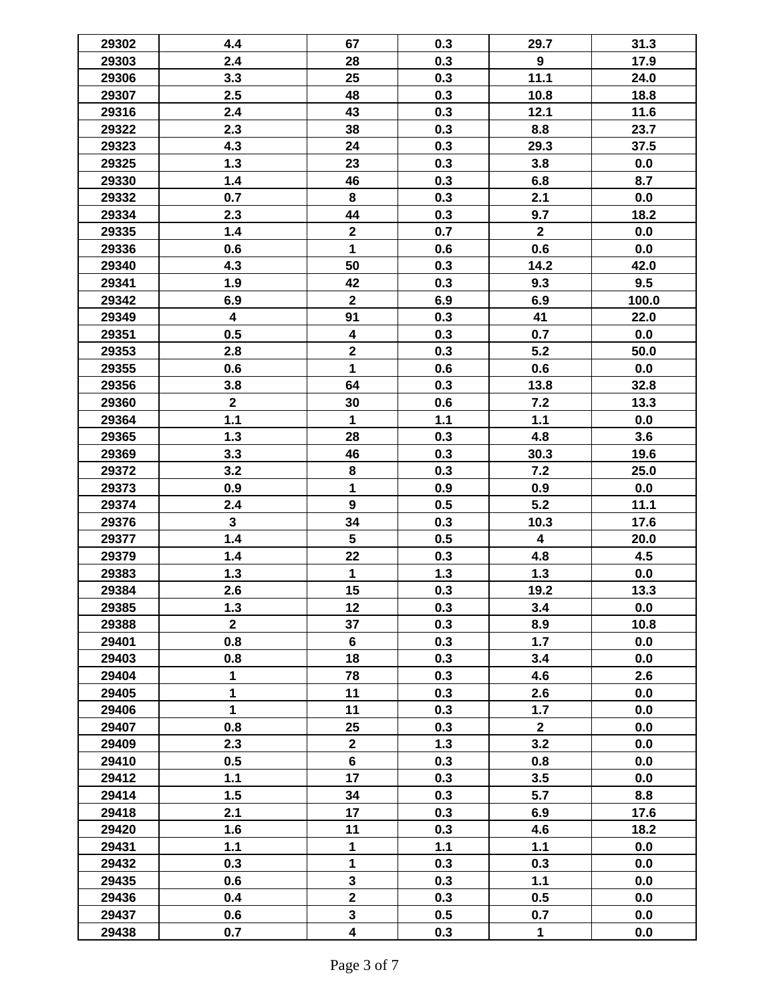| 29302 | 4.4                     | 67                      | 0.3   | 29.7                    | 31.3  |
|-------|-------------------------|-------------------------|-------|-------------------------|-------|
| 29303 | 2.4                     | 28                      | 0.3   | 9                       | 17.9  |
| 29306 | 3.3                     | 25                      | 0.3   | 11.1                    | 24.0  |
| 29307 | 2.5                     | 48                      | 0.3   | 10.8                    | 18.8  |
| 29316 | 2.4                     | 43                      | 0.3   | 12.1                    | 11.6  |
| 29322 | 2.3                     | 38                      | 0.3   | 8.8                     | 23.7  |
| 29323 | 4.3                     | 24                      | 0.3   | 29.3                    | 37.5  |
|       | 1.3                     | 23                      | 0.3   | 3.8                     | 0.0   |
| 29325 |                         |                         |       |                         |       |
| 29330 | 1.4                     | 46                      | 0.3   | 6.8                     | 8.7   |
| 29332 | 0.7                     | 8                       | 0.3   | 2.1                     | 0.0   |
| 29334 | 2.3                     | 44                      | 0.3   | 9.7                     | 18.2  |
| 29335 | 1.4                     | $\mathbf 2$             | 0.7   | $\mathbf{2}$            | 0.0   |
| 29336 | 0.6                     | $\mathbf{1}$            | 0.6   | 0.6                     | 0.0   |
| 29340 | 4.3                     | 50                      | 0.3   | 14.2                    | 42.0  |
| 29341 | 1.9                     | 42                      | 0.3   | 9.3                     | 9.5   |
| 29342 | 6.9                     | $\mathbf{2}$            | 6.9   | 6.9                     | 100.0 |
| 29349 | $\overline{\mathbf{4}}$ | 91                      | 0.3   | 41                      | 22.0  |
| 29351 | 0.5                     | 4                       | 0.3   | 0.7                     | 0.0   |
| 29353 | 2.8                     | $\overline{\mathbf{2}}$ | 0.3   | 5.2                     | 50.0  |
| 29355 | 0.6                     | $\mathbf{1}$            | 0.6   | 0.6                     | 0.0   |
| 29356 | 3.8                     | 64                      | 0.3   | 13.8                    | 32.8  |
| 29360 | $\overline{2}$          | 30                      | 0.6   | 7.2                     | 13.3  |
| 29364 | 1.1                     | $\mathbf{1}$            | $1.1$ | $1.1$                   | 0.0   |
| 29365 | 1.3                     | 28                      | 0.3   | 4.8                     | 3.6   |
| 29369 | 3.3                     | 46                      | 0.3   | 30.3                    | 19.6  |
| 29372 | 3.2                     | 8                       | 0.3   | 7.2                     | 25.0  |
| 29373 | 0.9                     | 1                       | 0.9   | 0.9                     | 0.0   |
| 29374 | 2.4                     | $\boldsymbol{9}$        | 0.5   | 5.2                     | 11.1  |
| 29376 | $\mathbf{3}$            | 34                      | 0.3   | 10.3                    | 17.6  |
| 29377 | 1.4                     | 5                       | 0.5   | $\overline{\mathbf{4}}$ | 20.0  |
| 29379 | 1.4                     | 22                      | 0.3   | 4.8                     | 4.5   |
| 29383 | 1.3                     | 1                       | 1.3   | 1.3                     | 0.0   |
| 29384 | 2.6                     | 15                      | 0.3   | 19.2                    | 13.3  |
| 29385 | $1.3$                   | 12                      | 0.3   | 3.4                     | 0.0   |
| 29388 | $\overline{2}$          | 37                      | 0.3   | 8.9                     | 10.8  |
| 29401 | 0.8                     | $6\phantom{a}$          | 0.3   | 1.7                     | 0.0   |
| 29403 | 0.8                     | 18                      | 0.3   | 3.4                     | 0.0   |
| 29404 | 1                       | 78                      | 0.3   | 4.6                     | 2.6   |
| 29405 | $\mathbf{1}$            | 11                      | 0.3   | 2.6                     | 0.0   |
| 29406 | $\mathbf{1}$            | 11                      | 0.3   | 1.7                     | 0.0   |
| 29407 | 0.8                     | 25                      | 0.3   | $\overline{2}$          | 0.0   |
| 29409 | 2.3                     | $\overline{2}$          | 1.3   | 3.2                     | 0.0   |
| 29410 | 0.5                     | $6\phantom{a}$          | 0.3   | 0.8                     | 0.0   |
| 29412 | 1.1                     | 17                      | 0.3   | 3.5                     | 0.0   |
| 29414 | 1.5                     | 34                      | 0.3   | 5.7                     | 8.8   |
| 29418 | 2.1                     | 17                      | 0.3   | 6.9                     | 17.6  |
| 29420 | 1.6                     | 11                      | 0.3   | 4.6                     | 18.2  |
| 29431 | 1.1                     | 1                       | 1.1   | 1.1                     | 0.0   |
| 29432 | 0.3                     | 1                       | 0.3   | 0.3                     | 0.0   |
| 29435 | 0.6                     | $\overline{\mathbf{3}}$ | 0.3   | 1.1                     | 0.0   |
| 29436 | 0.4                     | $\overline{\mathbf{2}}$ | 0.3   | 0.5                     | 0.0   |
| 29437 | 0.6                     | $\overline{\mathbf{3}}$ | 0.5   | 0.7                     | 0.0   |
| 29438 | 0.7                     | $\overline{\mathbf{4}}$ | 0.3   | 1                       | 0.0   |
|       |                         |                         |       |                         |       |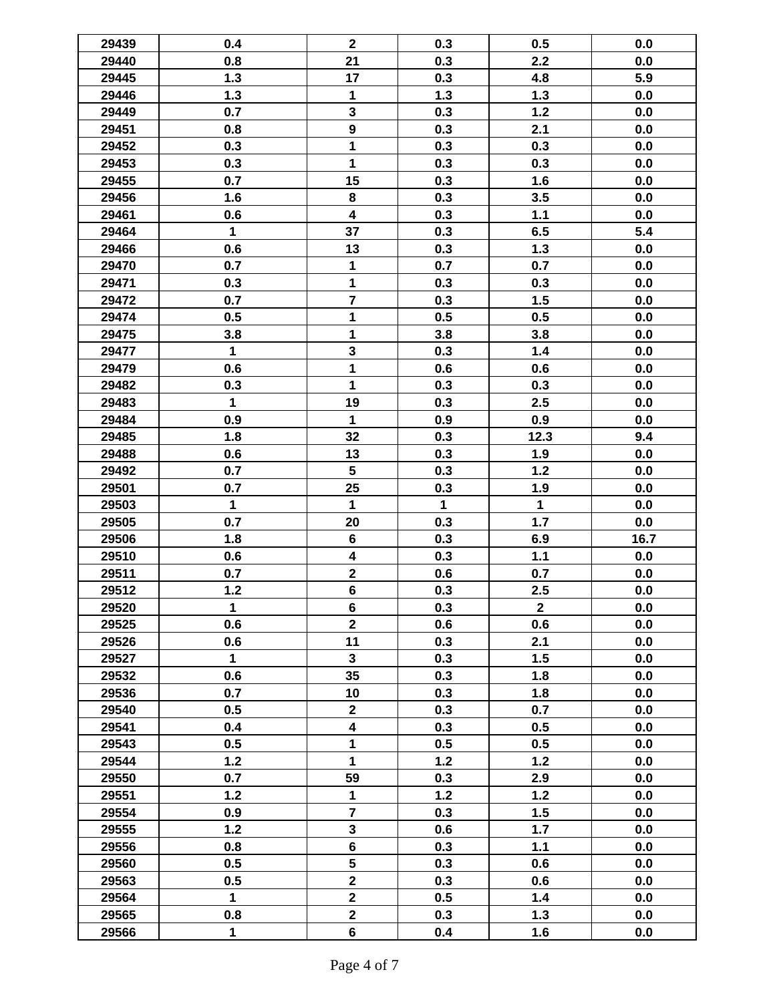| 29439 | 0.4          | $\mathbf{2}$            | 0.3          | 0.5            | 0.0  |
|-------|--------------|-------------------------|--------------|----------------|------|
| 29440 | 0.8          | 21                      | 0.3          | 2.2            | 0.0  |
| 29445 | 1.3          | 17                      | 0.3          | 4.8            | 5.9  |
| 29446 | 1.3          | 1                       | 1.3          | 1.3            | 0.0  |
| 29449 | 0.7          | $\mathbf{3}$            | 0.3          | $1.2$          | 0.0  |
| 29451 | 0.8          | $\overline{9}$          | 0.3          | 2.1            | 0.0  |
|       |              | 1                       | 0.3          | 0.3            |      |
| 29452 | 0.3          | 1                       |              |                | 0.0  |
| 29453 | 0.3          |                         | 0.3          | 0.3            | 0.0  |
| 29455 | 0.7          | 15                      | 0.3          | 1.6            | 0.0  |
| 29456 | 1.6          | 8                       | 0.3          | 3.5            | 0.0  |
| 29461 | 0.6          | $\overline{\mathbf{4}}$ | 0.3          | 1.1            | 0.0  |
| 29464 | $\mathbf 1$  | 37                      | 0.3          | 6.5            | 5.4  |
| 29466 | 0.6          | 13                      | 0.3          | $1.3$          | 0.0  |
| 29470 | 0.7          | 1                       | 0.7          | 0.7            | 0.0  |
| 29471 | 0.3          | 1                       | 0.3          | 0.3            | 0.0  |
| 29472 | 0.7          | $\overline{\mathbf{7}}$ | 0.3          | 1.5            | 0.0  |
| 29474 | 0.5          | 1                       | 0.5          | 0.5            | 0.0  |
| 29475 | 3.8          | 1                       | 3.8          | 3.8            | 0.0  |
| 29477 | $\mathbf{1}$ | $\mathbf{3}$            | 0.3          | 1.4            | 0.0  |
| 29479 | 0.6          | 1                       | 0.6          | 0.6            | 0.0  |
| 29482 | 0.3          | 1                       | 0.3          | 0.3            | 0.0  |
| 29483 | $\mathbf{1}$ | 19                      | 0.3          | 2.5            | 0.0  |
| 29484 | 0.9          | $\mathbf{1}$            | 0.9          | 0.9            | 0.0  |
| 29485 | 1.8          | 32                      | 0.3          | 12.3           | 9.4  |
| 29488 | 0.6          | 13                      | 0.3          | 1.9            | 0.0  |
| 29492 | 0.7          | $5\phantom{.0}$         | 0.3          | $1.2$          | 0.0  |
| 29501 | 0.7          | 25                      | 0.3          | 1.9            | 0.0  |
| 29503 | $\mathbf{1}$ | $\mathbf 1$             | $\mathbf{1}$ | $\mathbf{1}$   | 0.0  |
| 29505 | 0.7          | 20                      | 0.3          | 1.7            | 0.0  |
| 29506 | 1.8          | $6\phantom{a}$          | 0.3          | 6.9            | 16.7 |
| 29510 | 0.6          | $\overline{\mathbf{4}}$ | 0.3          | 1.1            | 0.0  |
| 29511 | 0.7          | $\mathbf{2}$            | 0.6          | 0.7            | 0.0  |
| 29512 | $1.2$        | $6\phantom{a}$          | 0.3          | 2.5            | 0.0  |
| 29520 | $\mathbf 1$  | $\bf 6$                 | 0.3          | $\overline{2}$ | 0.0  |
| 29525 | 0.6          | $\overline{\mathbf{2}}$ | 0.6          | 0.6            | 0.0  |
| 29526 | 0.6          | 11                      | 0.3          | 2.1            | 0.0  |
| 29527 | $\mathbf{1}$ | $\mathbf{3}$            | 0.3          | 1.5            | 0.0  |
| 29532 | 0.6          | 35                      | 0.3          | 1.8            | 0.0  |
| 29536 | 0.7          | 10                      | 0.3          | 1.8            | 0.0  |
| 29540 | 0.5          | $\mathbf{2}$            | 0.3          | 0.7            | 0.0  |
| 29541 | 0.4          | $\overline{\mathbf{4}}$ | 0.3          | 0.5            | 0.0  |
| 29543 | 0.5          | 1                       | 0.5          | 0.5            | 0.0  |
| 29544 | $1.2$        | $\mathbf{1}$            | $1.2$        | $1.2$          | 0.0  |
| 29550 | 0.7          | 59                      | 0.3          | 2.9            | 0.0  |
| 29551 | $1.2$        | $\mathbf{1}$            | $1.2$        | $1.2$          | 0.0  |
| 29554 | 0.9          | $\overline{7}$          | 0.3          | 1.5            | 0.0  |
|       | $1.2$        | $\mathbf{3}$            |              |                | 0.0  |
| 29555 |              | $6\phantom{a}$          | 0.6          | 1.7            |      |
| 29556 | 0.8          |                         | 0.3          | $1.1$          | 0.0  |
| 29560 | 0.5          | $\overline{\mathbf{5}}$ | 0.3          | 0.6            | 0.0  |
| 29563 | 0.5          | $\overline{2}$          | 0.3          | 0.6            | 0.0  |
| 29564 | $\mathbf{1}$ | $\overline{\mathbf{2}}$ | 0.5          | 1.4            | 0.0  |
| 29565 | 0.8          | $\mathbf{2}$            | 0.3          | 1.3            | 0.0  |
| 29566 | $\mathbf 1$  | $6\phantom{a}$          | 0.4          | 1.6            | 0.0  |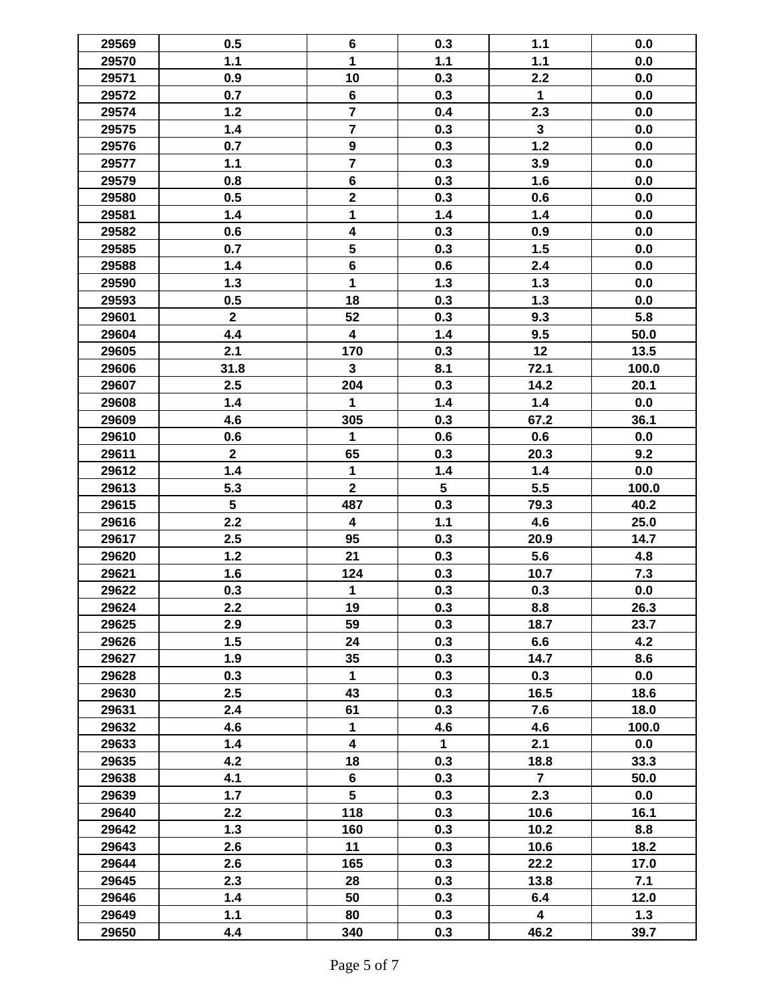| 29569 | 0.5            | $\bf 6$                 | 0.3                     | 1.1                     | 0.0   |
|-------|----------------|-------------------------|-------------------------|-------------------------|-------|
| 29570 | 1.1            | 1                       | 1.1                     | 1.1                     | 0.0   |
| 29571 | 0.9            | 10                      | 0.3                     | 2.2                     | 0.0   |
| 29572 | 0.7            | $\bf 6$                 | 0.3                     | 1                       | 0.0   |
| 29574 | $1.2$          | $\overline{7}$          | 0.4                     | 2.3                     | 0.0   |
| 29575 | 1.4            | $\overline{7}$          | 0.3                     | $\mathbf{3}$            | 0.0   |
| 29576 | 0.7            | $\boldsymbol{9}$        | 0.3                     | $1.2$                   | 0.0   |
| 29577 | 1.1            | $\overline{7}$          | 0.3                     | 3.9                     | 0.0   |
| 29579 | 0.8            | $\bf 6$                 | 0.3                     | 1.6                     | 0.0   |
| 29580 | 0.5            | $\mathbf 2$             | 0.3                     | 0.6                     | 0.0   |
| 29581 | 1.4            | 1                       | 1.4                     | 1.4                     | 0.0   |
| 29582 | 0.6            | $\overline{\mathbf{4}}$ | 0.3                     | 0.9                     | 0.0   |
| 29585 | 0.7            | $\overline{\mathbf{5}}$ | 0.3                     | 1.5                     | 0.0   |
| 29588 | 1.4            | $6\phantom{a}$          | 0.6                     | 2.4                     | 0.0   |
| 29590 | $1.3$          | $\overline{\mathbf{1}}$ | 1.3                     | $1.3$                   | 0.0   |
| 29593 | 0.5            | 18                      | 0.3                     | 1.3                     |       |
|       | $\overline{2}$ |                         |                         |                         | 0.0   |
| 29601 |                | 52                      | 0.3                     | 9.3                     | 5.8   |
| 29604 | 4.4            | $\overline{\mathbf{4}}$ | 1.4                     | 9.5                     | 50.0  |
| 29605 | 2.1            | 170                     | 0.3                     | 12                      | 13.5  |
| 29606 | 31.8           | $\mathbf{3}$            | 8.1                     | 72.1                    | 100.0 |
| 29607 | 2.5            | 204                     | 0.3                     | 14.2                    | 20.1  |
| 29608 | 1.4            | 1                       | 1.4                     | 1.4                     | 0.0   |
| 29609 | 4.6            | 305                     | 0.3                     | 67.2                    | 36.1  |
| 29610 | 0.6            | 1                       | 0.6                     | 0.6                     | 0.0   |
| 29611 | $\mathbf{2}$   | 65                      | 0.3                     | 20.3                    | 9.2   |
| 29612 | 1.4            | $\mathbf{1}$            | 1.4                     | $1.4$                   | 0.0   |
| 29613 | 5.3            | $\overline{2}$          | $\overline{\mathbf{5}}$ | 5.5                     | 100.0 |
| 29615 | 5              | 487                     | 0.3                     | 79.3                    | 40.2  |
| 29616 | 2.2            | $\overline{\mathbf{4}}$ | $1.1$                   | 4.6                     | 25.0  |
| 29617 | 2.5            | 95                      | 0.3                     | 20.9                    | 14.7  |
| 29620 | $1.2$          | 21                      | 0.3                     | 5.6                     | 4.8   |
| 29621 | 1.6            | 124                     | 0.3                     | 10.7                    | 7.3   |
| 29622 | 0.3            | $\mathbf{1}$            | 0.3                     | 0.3                     | 0.0   |
| 29624 | 2.2            | 19                      | 0.3                     | 8.8                     | 26.3  |
| 29625 | 2.9            | 59                      | 0.3                     | 18.7                    | 23.7  |
| 29626 | 1.5            | 24                      | 0.3                     | 6.6                     | 4.2   |
| 29627 | 1.9            | 35                      | 0.3                     | 14.7                    | 8.6   |
| 29628 | 0.3            | $\mathbf{1}$            | 0.3                     | 0.3                     | 0.0   |
| 29630 | 2.5            | 43                      | 0.3                     | 16.5                    | 18.6  |
| 29631 | 2.4            | 61                      | 0.3                     | 7.6                     | 18.0  |
| 29632 | 4.6            | 1                       | 4.6                     | 4.6                     | 100.0 |
| 29633 | 1.4            | $\overline{\mathbf{4}}$ | $\mathbf{1}$            | 2.1                     | 0.0   |
| 29635 | 4.2            | 18                      | 0.3                     | 18.8                    | 33.3  |
| 29638 | 4.1            | $6\phantom{a}$          | 0.3                     | $\overline{7}$          | 50.0  |
| 29639 | 1.7            | $5\phantom{.0}$         | 0.3                     | 2.3                     | 0.0   |
| 29640 | 2.2            | 118                     | 0.3                     | 10.6                    | 16.1  |
| 29642 | 1.3            | 160                     | 0.3                     | 10.2                    | 8.8   |
| 29643 | 2.6            | 11                      | 0.3                     | 10.6                    | 18.2  |
| 29644 | 2.6            | 165                     | 0.3                     | 22.2                    | 17.0  |
| 29645 | 2.3            | 28                      | 0.3                     | 13.8                    | 7.1   |
| 29646 | 1.4            | 50                      | 0.3                     | 6.4                     | 12.0  |
| 29649 | 1.1            | 80                      | 0.3                     | $\overline{\mathbf{4}}$ | 1.3   |
| 29650 | 4.4            | 340                     | 0.3                     | 46.2                    | 39.7  |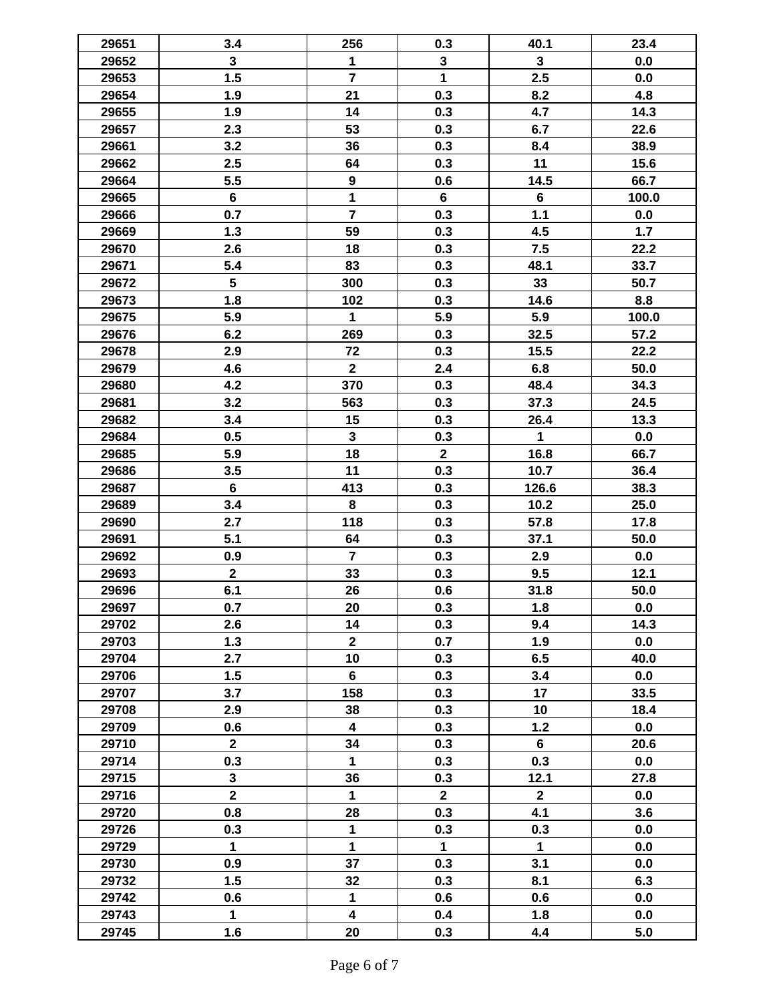| 29651 | 3.4             | 256                     | 0.3          | 40.1           | 23.4  |
|-------|-----------------|-------------------------|--------------|----------------|-------|
| 29652 | $\mathbf{3}$    | 1                       | $\mathbf{3}$ | $\mathbf{3}$   | 0.0   |
| 29653 | 1.5             | $\overline{7}$          | $\mathbf{1}$ | 2.5            | 0.0   |
| 29654 | 1.9             | 21                      | 0.3          | 8.2            | 4.8   |
| 29655 | 1.9             | 14                      | 0.3          | 4.7            | 14.3  |
| 29657 | 2.3             | 53                      | 0.3          | 6.7            | 22.6  |
| 29661 | 3.2             | 36                      | 0.3          | 8.4            | 38.9  |
| 29662 | 2.5             | 64                      | 0.3          | 11             | 15.6  |
| 29664 | 5.5             | 9                       | 0.6          | 14.5           | 66.7  |
| 29665 | 6               | $\mathbf{1}$            | 6            | $6\phantom{a}$ | 100.0 |
| 29666 | 0.7             | $\overline{7}$          | 0.3          | 1.1            | 0.0   |
| 29669 | 1.3             | 59                      | 0.3          | 4.5            | 1.7   |
| 29670 | 2.6             | 18                      | 0.3          | 7.5            | 22.2  |
| 29671 | 5.4             | 83                      | 0.3          | 48.1           | 33.7  |
| 29672 | $5\phantom{.0}$ | 300                     | 0.3          | 33             | 50.7  |
| 29673 | 1.8             | 102                     | 0.3          | 14.6           | 8.8   |
| 29675 | 5.9             | 1                       | 5.9          | 5.9            | 100.0 |
| 29676 | 6.2             | 269                     | 0.3          | 32.5           | 57.2  |
| 29678 | 2.9             | 72                      | 0.3          | 15.5           | 22.2  |
| 29679 | 4.6             | $\mathbf{2}$            | 2.4          | 6.8            | 50.0  |
| 29680 | 4.2             | 370                     | 0.3          | 48.4           | 34.3  |
| 29681 | 3.2             | 563                     | 0.3          | 37.3           | 24.5  |
| 29682 | 3.4             | 15                      | 0.3          |                | 13.3  |
|       |                 | $\mathbf{3}$            |              | 26.4           |       |
| 29684 | 0.5             |                         | 0.3          | 1              | 0.0   |
| 29685 | 5.9             | 18                      | $\mathbf{2}$ | 16.8           | 66.7  |
| 29686 | 3.5             | 11                      | 0.3          | 10.7           | 36.4  |
| 29687 | 6               | 413                     | 0.3          | 126.6          | 38.3  |
| 29689 | 3.4             | 8                       | 0.3          | 10.2           | 25.0  |
| 29690 | 2.7             | 118                     | 0.3          | 57.8           | 17.8  |
| 29691 | 5.1             | 64                      | 0.3          | 37.1           | 50.0  |
| 29692 | 0.9             | $\overline{7}$          | 0.3          | 2.9            | 0.0   |
| 29693 | $\mathbf{2}$    | 33                      | 0.3          | 9.5            | 12.1  |
| 29696 | 6.1             | 26                      | 0.6          | 31.8           | 50.0  |
| 29697 | 0.7             | 20                      | 0.3          | 1.8            | 0.0   |
| 29702 | 2.6             | 14                      | 0.3          | 9.4            | 14.3  |
| 29703 | 1.3             | $\mathbf{2}$            | 0.7          | 1.9            | 0.0   |
| 29704 | 2.7             | 10                      | 0.3          | 6.5            | 40.0  |
| 29706 | 1.5             | $6\phantom{1}$          | 0.3          | 3.4            | 0.0   |
| 29707 | 3.7             | 158                     | 0.3          | 17             | 33.5  |
| 29708 | 2.9             | 38                      | 0.3          | 10             | 18.4  |
| 29709 | 0.6             | $\overline{\mathbf{4}}$ | 0.3          | $1.2$          | 0.0   |
| 29710 | $\mathbf{2}$    | 34                      | 0.3          | $6\phantom{1}$ | 20.6  |
| 29714 | 0.3             | $\mathbf{1}$            | 0.3          | 0.3            | 0.0   |
| 29715 | $\mathbf{3}$    | 36                      | 0.3          | 12.1           | 27.8  |
| 29716 | $\mathbf{2}$    | 1                       | $\mathbf{2}$ | $\overline{2}$ | 0.0   |
| 29720 | 0.8             | 28                      | 0.3          | 4.1            | 3.6   |
| 29726 | 0.3             | 1                       | 0.3          | 0.3            | 0.0   |
| 29729 | $\mathbf{1}$    | $\mathbf{1}$            | $\mathbf{1}$ | $\mathbf{1}$   | 0.0   |
| 29730 | 0.9             | 37                      | 0.3          | 3.1            | 0.0   |
| 29732 | 1.5             | 32                      | 0.3          | 8.1            | 6.3   |
| 29742 | 0.6             | $\mathbf{1}$            | 0.6          | 0.6            | 0.0   |
| 29743 | $\mathbf{1}$    | $\overline{\mathbf{4}}$ | 0.4          | 1.8            | 0.0   |
| 29745 | 1.6             | 20                      | 0.3          | 4.4            | 5.0   |